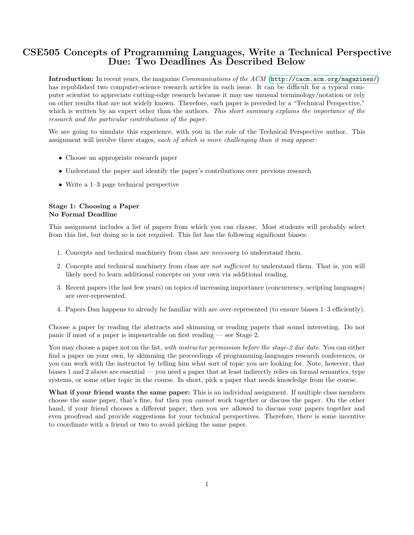# CSE505 Concepts of Programming Languages, Write a Technical Perspective Due: Two Deadlines As Described Below

Introduction: In recent years, the magazine Communications of the ACM (<http://cacm.acm.org/magazines/>) has republished two computer-science research articles in each issue. It can be difficult for a typical computer scientist to appreciate cutting-edge research because it may use unusual terminology/notation or rely on other results that are not widely known. Therefore, each paper is preceded by a "Technical Perspective," which is written by an expert other than the authors. This short summary explains the importance of the research and the particular contributions of the paper.

We are going to simulate this experience, with you in the role of the Technical Perspective author. This assignment will involve three stages, each of which is more challenging than it may appear:

- Choose an appropriate research paper
- Understand the paper and identify the paper's contributions over previous research
- Write a 1–3 page technical perspective

### Stage 1: Choosing a Paper No Formal Deadline

This assignment includes a list of papers from which you can choose. Most students will probably select from this list, but doing so is not required. This list has the following significant biases:

- 1. Concepts and technical machinery from class are necessary to understand them.
- 2. Concepts and technical machinery from class are not sufficient to understand them. That is, you will likely need to learn additional concepts on your own via additional reading.
- 3. Recent papers (the last few years) on topics of increasing importance (concurrency, scripting languages) are over-represented.
- 4. Papers Dan happens to already be familiar with are over-represented (to ensure biases 1–3 efficiently).

Choose a paper by reading the abstracts and skimming or reading papers that sound interesting. Do not panic if most of a paper is impenetrable on first reading — see Stage 2.

You may choose a paper not on the list, with instructor permission before the stage-2 due date. You can either find a paper on your own, by skimming the proceedings of programming-languages research conferences, or you can work with the instructor by telling him what sort of topic you are looking for. Note, however, that biases 1 and 2 above are essential — you need a paper that at least indirectly relies on formal semantics, type systems, or some other topic in the course. In short, pick a paper that needs knowledge from the course.

What if your friend wants the same paper: This is an individual assignment. If multiple class members choose the same paper, that's fine, but then you cannot work together or discuss the paper. On the other hand, if your friend chooses a different paper, then you are allowed to discuss your papers together and even proofread and provide suggestions for your technical perspectives. Therefore, there is some incentive to coordinate with a friend or two to avoid picking the same paper.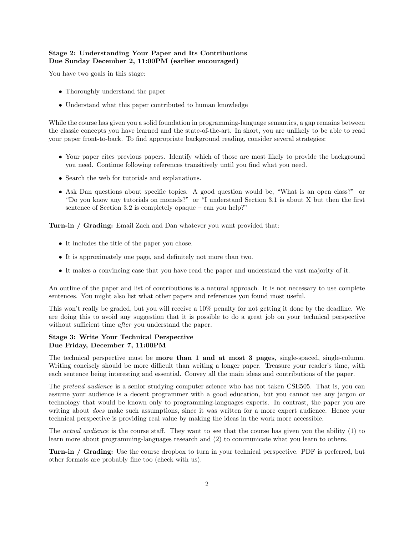### Stage 2: Understanding Your Paper and Its Contributions Due Sunday December 2, 11:00PM (earlier encouraged)

You have two goals in this stage:

- Thoroughly understand the paper
- Understand what this paper contributed to human knowledge

While the course has given you a solid foundation in programming-language semantics, a gap remains between the classic concepts you have learned and the state-of-the-art. In short, you are unlikely to be able to read your paper front-to-back. To find appropriate background reading, consider several strategies:

- Your paper cites previous papers. Identify which of those are most likely to provide the background you need. Continue following references transitively until you find what you need.
- Search the web for tutorials and explanations.
- Ask Dan questions about specific topics. A good question would be, "What is an open class?" or "Do you know any tutorials on monads?" or "I understand Section 3.1 is about X but then the first sentence of Section 3.2 is completely opaque – can you help?"

Turn-in / Grading: Email Zach and Dan whatever you want provided that:

- It includes the title of the paper you chose.
- It is approximately one page, and definitely not more than two.
- It makes a convincing case that you have read the paper and understand the vast majority of it.

An outline of the paper and list of contributions is a natural approach. It is not necessary to use complete sentences. You might also list what other papers and references you found most useful.

This won't really be graded, but you will receive a 10% penalty for not getting it done by the deadline. We are doing this to avoid any suggestion that it is possible to do a great job on your technical perspective without sufficient time *after* you understand the paper.

## Stage 3: Write Your Technical Perspective Due Friday, December 7, 11:00PM

The technical perspective must be more than 1 and at most 3 pages, single-spaced, single-column. Writing concisely should be more difficult than writing a longer paper. Treasure your reader's time, with each sentence being interesting and essential. Convey all the main ideas and contributions of the paper.

The *pretend audience* is a senior studying computer science who has not taken CSE505. That is, you can assume your audience is a decent programmer with a good education, but you cannot use any jargon or technology that would be known only to programming-languages experts. In contrast, the paper you are writing about *does* make such assumptions, since it was written for a more expert audience. Hence your technical perspective is providing real value by making the ideas in the work more accessible.

The *actual audience* is the course staff. They want to see that the course has given you the ability (1) to learn more about programming-languages research and (2) to communicate what you learn to others.

Turn-in / Grading: Use the course dropbox to turn in your technical perspective. PDF is preferred, but other formats are probably fine too (check with us).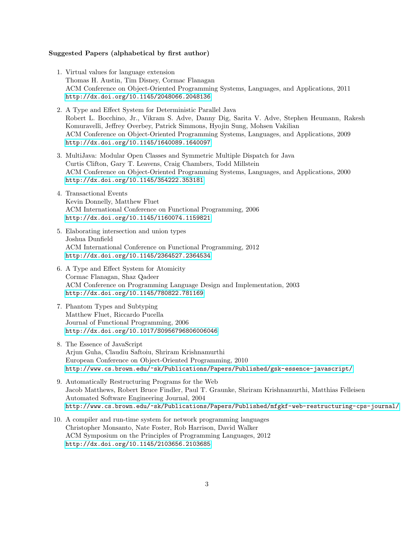#### Suggested Papers (alphabetical by first author)

- 1. Virtual values for language extension Thomas H. Austin, Tim Disney, Cormac Flanagan ACM Conference on Object-Oriented Programming Systems, Languages, and Applications, 2011 <http://dx.doi.org/10.1145/2048066.2048136>
- 2. A Type and Effect System for Deterministic Parallel Java Robert L. Bocchino, Jr., Vikram S. Adve, Danny Dig, Sarita V. Adve, Stephen Heumann, Rakesh Komuravelli, Jeffrey Overbey, Patrick Simmons, Hyojin Sung, Mohsen Vakilian ACM Conference on Object-Oriented Programming Systems, Languages, and Applications, 2009 <http://dx.doi.org/10.1145/1640089.1640097>
- 3. MultiJava: Modular Open Classes and Symmetric Multiple Dispatch for Java Curtis Clifton, Gary T. Leavens, Craig Chambers, Todd Millstein ACM Conference on Object-Oriented Programming Systems, Languages, and Applications, 2000 <http://dx.doi.org/10.1145/354222.353181>
- 4. Transactional Events Kevin Donnelly, Matthew Fluet ACM International Conference on Functional Programming, 2006 <http://dx.doi.org/10.1145/1160074.1159821>
- 5. Elaborating intersection and union types Joshua Dunfield ACM International Conference on Functional Programming, 2012 <http://dx.doi.org/10.1145/2364527.2364534>
- 6. A Type and Effect System for Atomicity Cormac Flanagan, Shaz Qadeer ACM Conference on Programming Language Design and Implementation, 2003 <http://dx.doi.org/10.1145/780822.781169>
- 7. Phantom Types and Subtyping Matthew Fluet, Riccardo Pucella Journal of Functional Programming, 2006 <http://dx.doi.org/10.1017/S0956796806006046>
- 8. The Essence of JavaScript Arjun Guha, Claudiu Saftoiu, Shriram Krishnamurthi European Conference on Object-Oriented Programming, 2010 <http://www.cs.brown.edu/~sk/Publications/Papers/Published/gsk-essence-javascript/>
- 9. Automatically Restructuring Programs for the Web Jacob Matthews, Robert Bruce Findler, Paul T. Graunke, Shriram Krishnamurthi, Matthias Felleisen Automated Software Engineering Journal, 2004 <http://www.cs.brown.edu/~sk/Publications/Papers/Published/mfgkf-web-restructuring-cps-journal/>
- 10. A compiler and run-time system for network programming languages Christopher Monsanto, Nate Foster, Rob Harrison, David Walker ACM Symposium on the Principles of Programming Languages, 2012 <http://dx.doi.org/10.1145/2103656.2103685>